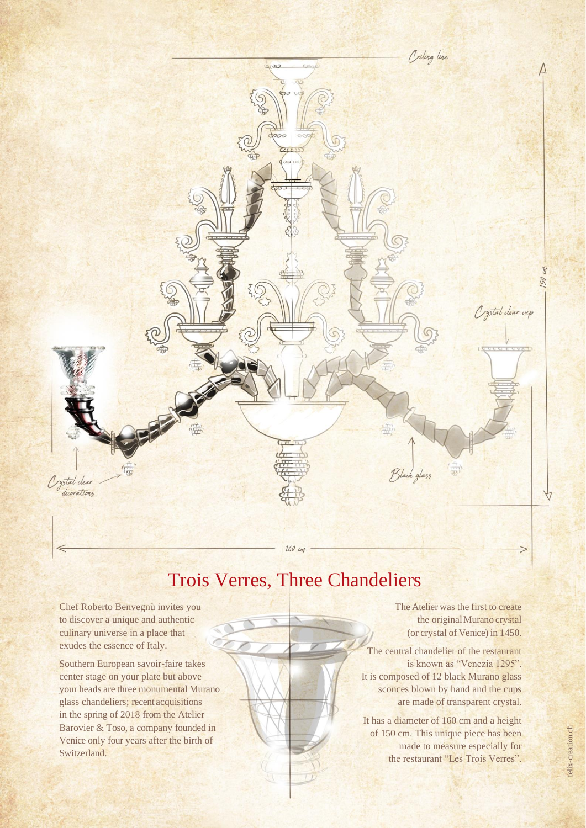

# Trois Verres, Three Chandeliers

Chef Roberto Benvegnù invites you to discover a unique and authentic culinary universe in a place that exudes the essence of Italy.

Southern European savoir-faire takes center stage on your plate but above your heads are three monumental Murano glass chandeliers; recent acquisitions in the spring of 2018 from the Atelier Barovier & Toso, a company founded in Venice only four years after the birth of Switzerland.

The Atelier was the first to create the original Murano crystal (or crystal of Venice) in 1450.

The central chandelier of the restaurant is known as "Venezia 1295". It is composed of 12 black Murano glass sconces blown by hand and the cups are made of transparent crystal.

It has a diameter of 160 cm and a height of 150 cm. This unique piece has been made to measure especially for the restaurant "Les Trois Verres".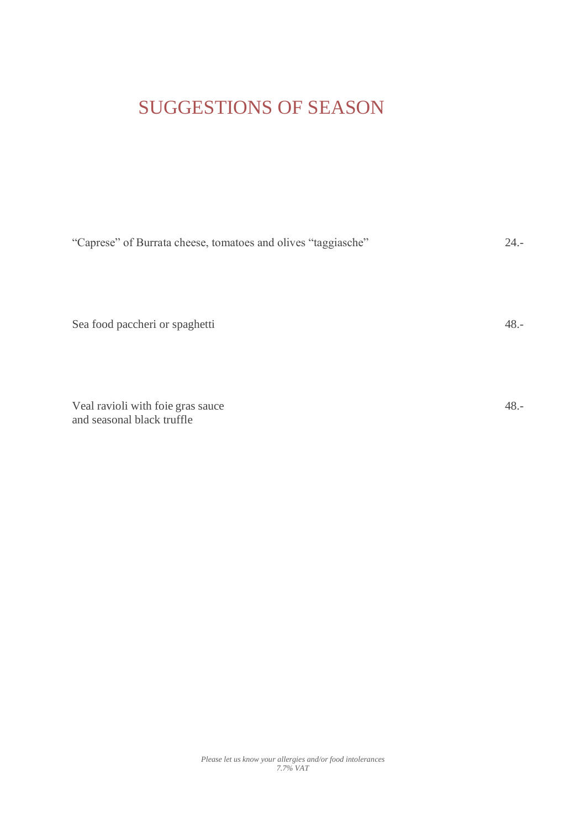# SUGGESTIONS OF SEASON

| "Caprese" of Burrata cheese, tomatoes and olives "taggiasche"   | $24. -$ |
|-----------------------------------------------------------------|---------|
| Sea food paccheri or spaghetti                                  | $48. -$ |
| Veal ravioli with foie gras sauce<br>and seasonal black truffle | $48. -$ |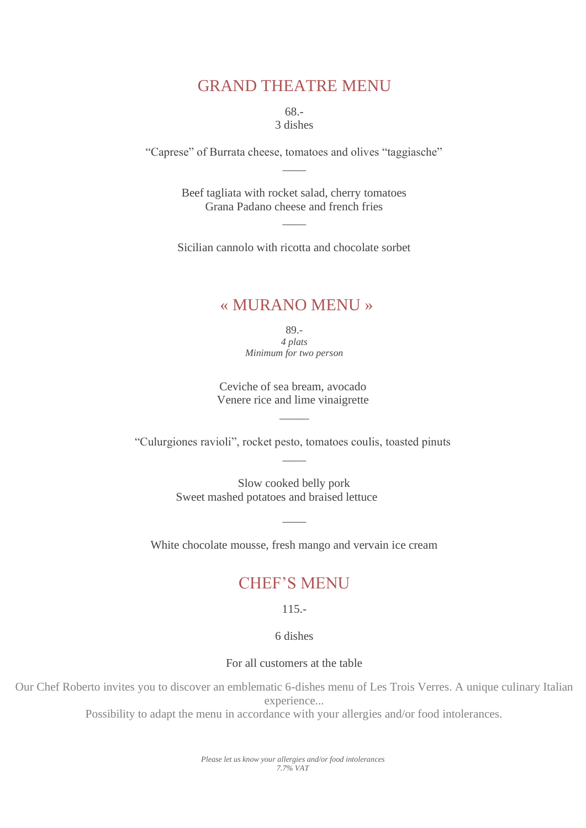### GRAND THEATRE MENU

68.- 3 dishes

"Caprese" of Burrata cheese, tomatoes and olives "taggiasche"  $\overline{\phantom{a}}$ 

> Beef tagliata with rocket salad, cherry tomatoes Grana Padano cheese and french fries

> > $\overline{\phantom{a}}$

Sicilian cannolo with ricotta and chocolate sorbet

#### « MURANO MENU »

89.- *4 plats Minimum for two person*

Ceviche of sea bream, avocado Venere rice and lime vinaigrette

 $\overline{\phantom{a}}$ 

"Culurgiones ravioli", rocket pesto, tomatoes coulis, toasted pinuts  $\overline{\phantom{a}}$ 

> Slow cooked belly pork Sweet mashed potatoes and braised lettuce

White chocolate mousse, fresh mango and vervain ice cream

 $\overline{\phantom{a}}$ 

#### CHEF'S MENU

115.-

6 dishes

#### For all customers at the table

Our Chef Roberto invites you to discover an emblematic 6-dishes menu of Les Trois Verres. A unique culinary Italian experience...

Possibility to adapt the menu in accordance with your allergies and/or food intolerances.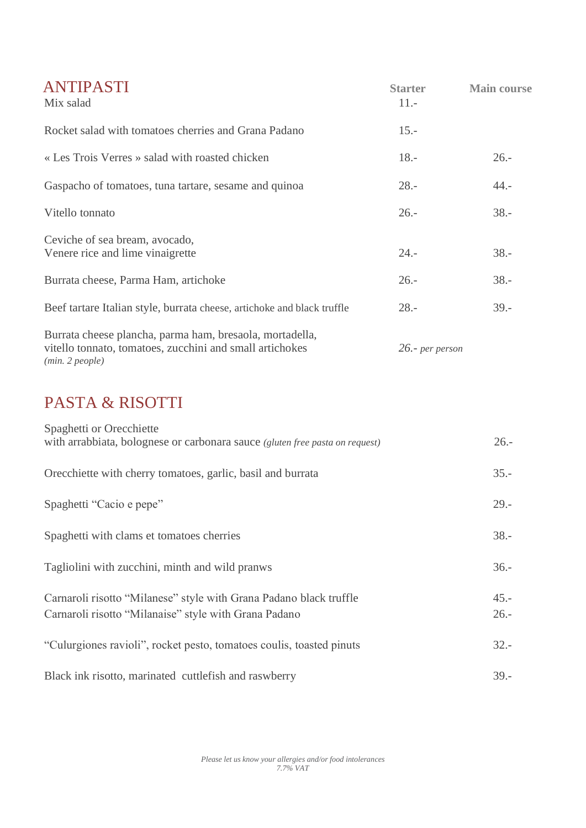| ANTIPASTI<br>Mix salad                                                                                                                  | <b>Starter</b><br>$11. -$ | <b>Main course</b> |
|-----------------------------------------------------------------------------------------------------------------------------------------|---------------------------|--------------------|
| Rocket salad with tomatoes cherries and Grana Padano                                                                                    | $15. -$                   |                    |
| « Les Trois Verres » salad with roasted chicken                                                                                         | $18. -$                   | $26. -$            |
| Gaspacho of tomatoes, tuna tartare, sesame and quinoa                                                                                   | $28. -$                   | $44. -$            |
| Vitello tonnato                                                                                                                         | $26. -$                   | $38. -$            |
| Ceviche of sea bream, avocado,<br>Venere rice and lime vinaigrette                                                                      | $24. -$                   | $38. -$            |
| Burrata cheese, Parma Ham, artichoke                                                                                                    | $26. -$                   | $38. -$            |
| Beef tartare Italian style, burrata cheese, artichoke and black truffle                                                                 | $28. -$                   | $39. -$            |
| Burrata cheese plancha, parma ham, bresaola, mortadella,<br>vitello tonnato, tomatoes, zucchini and small artichokes<br>(min. 2 people) | 26.- per person           |                    |
| <b>PASTA &amp; RISOTTI</b>                                                                                                              |                           |                    |
| Spaghetti or Orecchiette<br>with arrabbiata, bolognese or carbonara sauce (gluten free pasta on request)                                |                           | $26. -$            |
| Orecchiette with cherry tomatoes, garlic, basil and burrata                                                                             |                           | $35. -$            |
| Spaghetti "Cacio e pepe"                                                                                                                |                           | $29. -$            |
| Spaghetti with clams et tomatoes cherries                                                                                               |                           | $38. -$            |
| Tagliolini with zucchini, minth and wild pranws                                                                                         |                           | $36. -$            |
| Carnaroli risotto "Milanese" style with Grana Padano black truffle<br>Carnaroli risotto "Milanaise" style with Grana Padano             |                           | $45. -$<br>$26. -$ |
| "Culurgiones ravioli", rocket pesto, tomatoes coulis, toasted pinuts                                                                    |                           | $32 -$             |
| Black ink risotto, marinated cuttlefish and raswberry                                                                                   |                           | $39. -$            |

*Please let us know your allergies and/or food intolerances 7.7% VAT*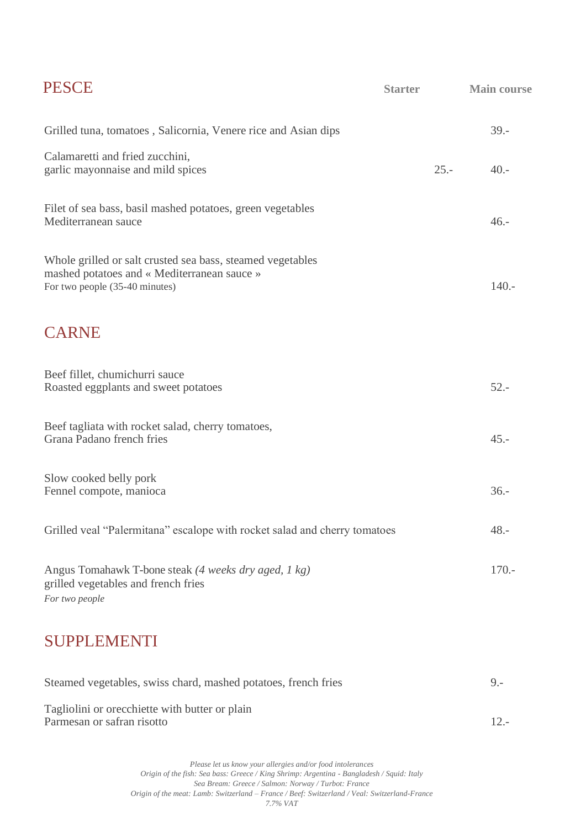| <b>PESCE</b>                                                                                                                                | <b>Starter</b> | <b>Main course</b> |
|---------------------------------------------------------------------------------------------------------------------------------------------|----------------|--------------------|
| Grilled tuna, tomatoes, Salicornia, Venere rice and Asian dips                                                                              |                | $39. -$            |
| Calamaretti and fried zucchini,<br>garlic mayonnaise and mild spices                                                                        | $25. -$        | $40. -$            |
| Filet of sea bass, basil mashed potatoes, green vegetables<br>Mediterranean sauce                                                           |                | $46. -$            |
| Whole grilled or salt crusted sea bass, steamed vegetables<br>mashed potatoes and « Mediterranean sauce »<br>For two people (35-40 minutes) |                | $140. -$           |
| <b>CARNE</b>                                                                                                                                |                |                    |
| Beef fillet, chumichurri sauce<br>Roasted eggplants and sweet potatoes                                                                      |                | $52 -$             |
| Beef tagliata with rocket salad, cherry tomatoes,<br>Grana Padano french fries                                                              |                | $45. -$            |
| Slow cooked belly pork<br>Fennel compote, manioca                                                                                           |                | $36. -$            |
| Grilled veal "Palermitana" escalope with rocket salad and cherry tomatoes                                                                   |                | $48. -$            |
| Angus Tomahawk T-bone steak (4 weeks dry aged, 1 kg)<br>grilled vegetables and french fries<br>For two people                               |                | $170. -$           |
| <b>SUPPLEMENTI</b>                                                                                                                          |                |                    |
| Steamed vegetables, swiss chard, mashed potatoes, french fries                                                                              |                | $9 -$              |
| Tagliolini or orecchiette with butter or plain                                                                                              |                |                    |

Parmesan or safran risotto 12.-

*Please let us know your allergies and/or food intolerances Origin of the fish: Sea bass: Greece / King Shrimp: Argentina - Bangladesh / Squid: Italy Sea Bream: Greece / Salmon: Norway / Turbot: France Origin of the meat: Lamb: Switzerland – France / Beef: Switzerland / Veal: Switzerland-France 7.7% VAT*